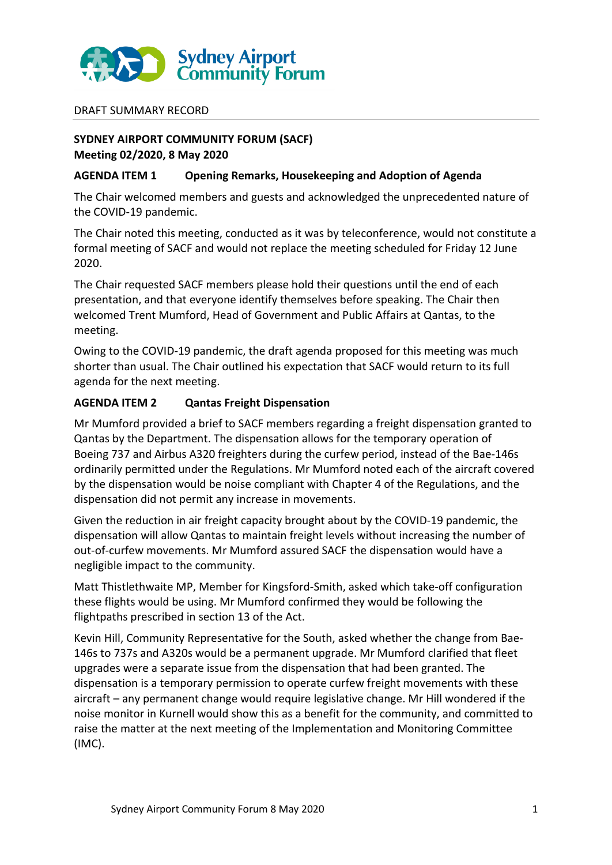

#### DRAFT SUMMARY RECORD

## **SYDNEY AIRPORT COMMUNITY FORUM (SACF) Meeting 02/2020, 8 May 2020**

#### **AGENDA ITEM 1 Opening Remarks, Housekeeping and Adoption of Agenda**

The Chair welcomed members and guests and acknowledged the unprecedented nature of the COVID-19 pandemic.

The Chair noted this meeting, conducted as it was by teleconference, would not constitute a formal meeting of SACF and would not replace the meeting scheduled for Friday 12 June 2020.

The Chair requested SACF members please hold their questions until the end of each presentation, and that everyone identify themselves before speaking. The Chair then welcomed Trent Mumford, Head of Government and Public Affairs at Qantas, to the meeting.

Owing to the COVID-19 pandemic, the draft agenda proposed for this meeting was much shorter than usual. The Chair outlined his expectation that SACF would return to its full agenda for the next meeting.

#### **AGENDA ITEM 2 Qantas Freight Dispensation**

Mr Mumford provided a brief to SACF members regarding a freight dispensation granted to Qantas by the Department. The dispensation allows for the temporary operation of Boeing 737 and Airbus A320 freighters during the curfew period, instead of the Bae-146s ordinarily permitted under the Regulations. Mr Mumford noted each of the aircraft covered by the dispensation would be noise compliant with Chapter 4 of the Regulations, and the dispensation did not permit any increase in movements.

Given the reduction in air freight capacity brought about by the COVID-19 pandemic, the dispensation will allow Qantas to maintain freight levels without increasing the number of out-of-curfew movements. Mr Mumford assured SACF the dispensation would have a negligible impact to the community.

Matt Thistlethwaite MP, Member for Kingsford-Smith, asked which take-off configuration these flights would be using. Mr Mumford confirmed they would be following the flightpaths prescribed in section 13 of the Act.

Kevin Hill, Community Representative for the South, asked whether the change from Bae-146s to 737s and A320s would be a permanent upgrade. Mr Mumford clarified that fleet upgrades were a separate issue from the dispensation that had been granted. The dispensation is a temporary permission to operate curfew freight movements with these aircraft – any permanent change would require legislative change. Mr Hill wondered if the noise monitor in Kurnell would show this as a benefit for the community, and committed to raise the matter at the next meeting of the Implementation and Monitoring Committee (IMC).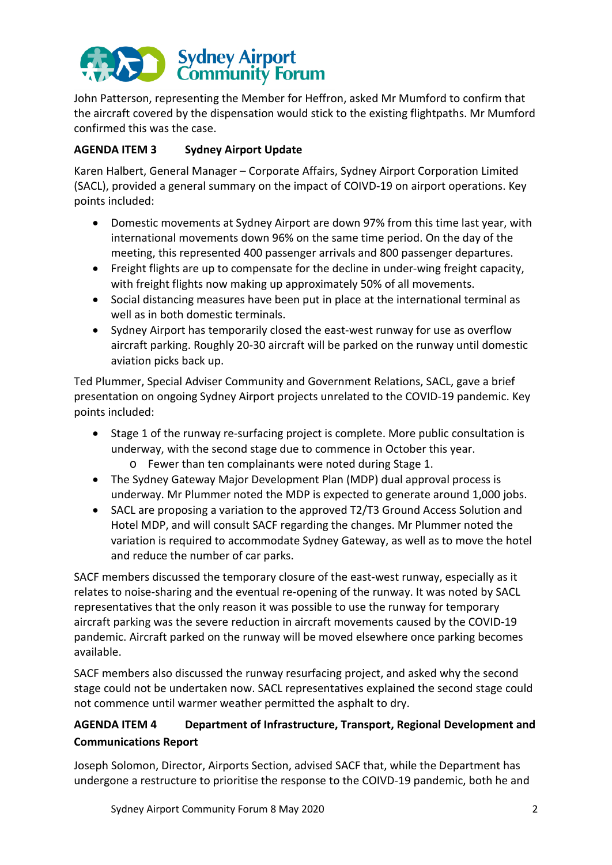

John Patterson, representing the Member for Heffron, asked Mr Mumford to confirm that the aircraft covered by the dispensation would stick to the existing flightpaths. Mr Mumford confirmed this was the case.

## **AGENDA ITEM 3 Sydney Airport Update**

Karen Halbert, General Manager – Corporate Affairs, Sydney Airport Corporation Limited (SACL), provided a general summary on the impact of COIVD-19 on airport operations. Key points included:

- Domestic movements at Sydney Airport are down 97% from this time last year, with international movements down 96% on the same time period. On the day of the meeting, this represented 400 passenger arrivals and 800 passenger departures.
- Freight flights are up to compensate for the decline in under-wing freight capacity, with freight flights now making up approximately 50% of all movements.
- Social distancing measures have been put in place at the international terminal as well as in both domestic terminals.
- Sydney Airport has temporarily closed the east-west runway for use as overflow aircraft parking. Roughly 20-30 aircraft will be parked on the runway until domestic aviation picks back up.

Ted Plummer, Special Adviser Community and Government Relations, SACL, gave a brief presentation on ongoing Sydney Airport projects unrelated to the COVID-19 pandemic. Key points included:

- Stage 1 of the runway re-surfacing project is complete. More public consultation is underway, with the second stage due to commence in October this year.
	- o Fewer than ten complainants were noted during Stage 1.
- The Sydney Gateway Major Development Plan (MDP) dual approval process is underway. Mr Plummer noted the MDP is expected to generate around 1,000 jobs.
- SACL are proposing a variation to the approved T2/T3 Ground Access Solution and Hotel MDP, and will consult SACF regarding the changes. Mr Plummer noted the variation is required to accommodate Sydney Gateway, as well as to move the hotel and reduce the number of car parks.

SACF members discussed the temporary closure of the east-west runway, especially as it relates to noise-sharing and the eventual re-opening of the runway. It was noted by SACL representatives that the only reason it was possible to use the runway for temporary aircraft parking was the severe reduction in aircraft movements caused by the COVID-19 pandemic. Aircraft parked on the runway will be moved elsewhere once parking becomes available.

SACF members also discussed the runway resurfacing project, and asked why the second stage could not be undertaken now. SACL representatives explained the second stage could not commence until warmer weather permitted the asphalt to dry.

# **AGENDA ITEM 4 Department of Infrastructure, Transport, Regional Development and Communications Report**

Joseph Solomon, Director, Airports Section, advised SACF that, while the Department has undergone a restructure to prioritise the response to the COIVD-19 pandemic, both he and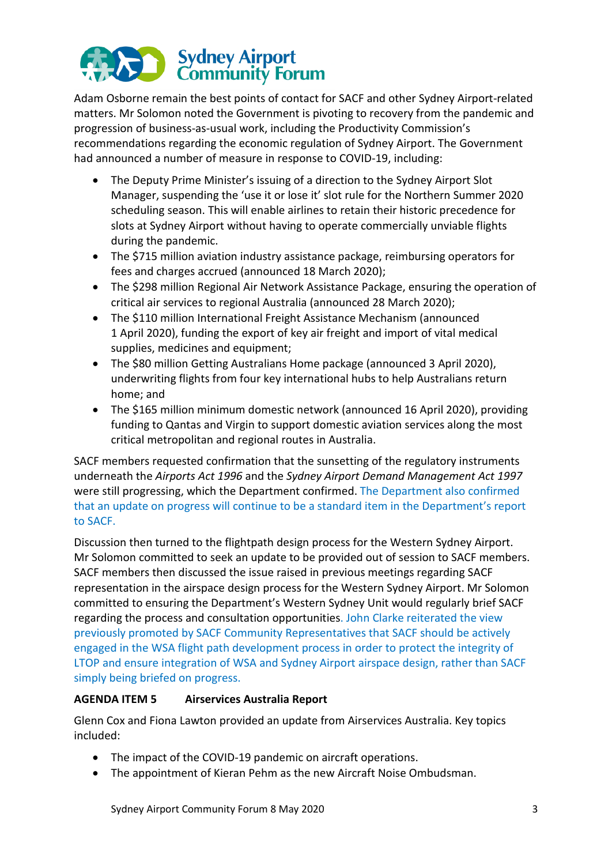# Sydney Airport<br>Community Forum

Adam Osborne remain the best points of contact for SACF and other Sydney Airport-related matters. Mr Solomon noted the Government is pivoting to recovery from the pandemic and progression of business-as-usual work, including the Productivity Commission's recommendations regarding the economic regulation of Sydney Airport. The Government had announced a number of measure in response to COVID-19, including:

- The Deputy Prime Minister's issuing of a direction to the Sydney Airport Slot Manager, suspending the 'use it or lose it' slot rule for the Northern Summer 2020 scheduling season. This will enable airlines to retain their historic precedence for slots at Sydney Airport without having to operate commercially unviable flights during the pandemic.
- The \$715 million aviation industry assistance package, reimbursing operators for fees and charges accrued (announced 18 March 2020);
- The \$298 million Regional Air Network Assistance Package, ensuring the operation of critical air services to regional Australia (announced 28 March 2020);
- The \$110 million International Freight Assistance Mechanism (announced 1 April 2020), funding the export of key air freight and import of vital medical supplies, medicines and equipment;
- The \$80 million Getting Australians Home package (announced 3 April 2020), underwriting flights from four key international hubs to help Australians return home; and
- The \$165 million minimum domestic network (announced 16 April 2020), providing funding to Qantas and Virgin to support domestic aviation services along the most critical metropolitan and regional routes in Australia.

SACF members requested confirmation that the sunsetting of the regulatory instruments underneath the *Airports Act 1996* and the *Sydney Airport Demand Management Act 1997* were still progressing, which the Department confirmed. The Department also confirmed that an update on progress will continue to be a standard item in the Department's report to SACF.

Discussion then turned to the flightpath design process for the Western Sydney Airport. Mr Solomon committed to seek an update to be provided out of session to SACF members. SACF members then discussed the issue raised in previous meetings regarding SACF representation in the airspace design process for the Western Sydney Airport. Mr Solomon committed to ensuring the Department's Western Sydney Unit would regularly brief SACF regarding the process and consultation opportunities. John Clarke reiterated the view previously promoted by SACF Community Representatives that SACF should be actively engaged in the WSA flight path development process in order to protect the integrity of LTOP and ensure integration of WSA and Sydney Airport airspace design, rather than SACF simply being briefed on progress.

# **AGENDA ITEM 5 Airservices Australia Report**

Glenn Cox and Fiona Lawton provided an update from Airservices Australia. Key topics included:

- The impact of the COVID-19 pandemic on aircraft operations.
- The appointment of Kieran Pehm as the new Aircraft Noise Ombudsman.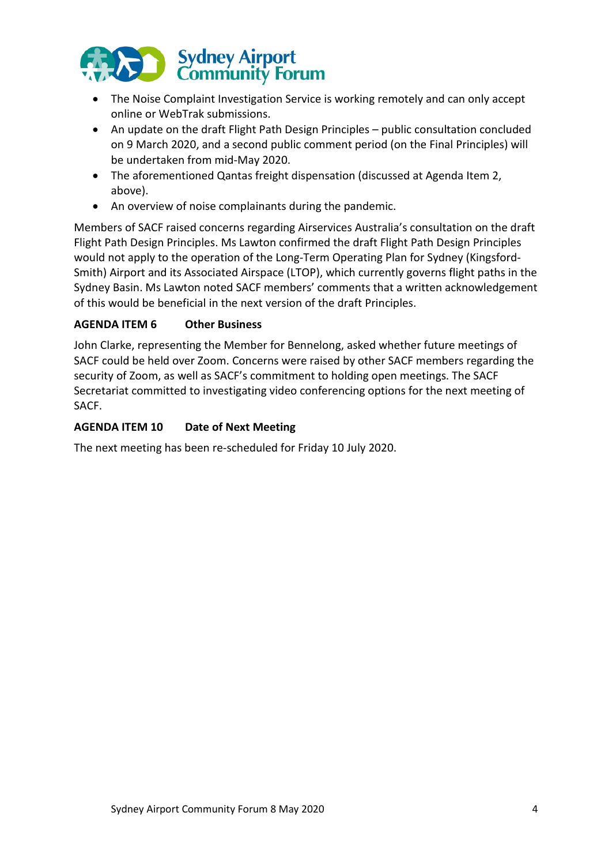

- The Noise Complaint Investigation Service is working remotely and can only accept online or WebTrak submissions.
- An update on the draft Flight Path Design Principles public consultation concluded on 9 March 2020, and a second public comment period (on the Final Principles) will be undertaken from mid-May 2020.
- The aforementioned Qantas freight dispensation (discussed at Agenda Item 2, above).
- An overview of noise complainants during the pandemic.

Members of SACF raised concerns regarding Airservices Australia's consultation on the draft Flight Path Design Principles. Ms Lawton confirmed the draft Flight Path Design Principles would not apply to the operation of the Long-Term Operating Plan for Sydney (Kingsford-Smith) Airport and its Associated Airspace (LTOP), which currently governs flight paths in the Sydney Basin. Ms Lawton noted SACF members' comments that a written acknowledgement of this would be beneficial in the next version of the draft Principles.

## **AGENDA ITEM 6 Other Business**

John Clarke, representing the Member for Bennelong, asked whether future meetings of SACF could be held over Zoom. Concerns were raised by other SACF members regarding the security of Zoom, as well as SACF's commitment to holding open meetings. The SACF Secretariat committed to investigating video conferencing options for the next meeting of SACF.

## **AGENDA ITEM 10 Date of Next Meeting**

The next meeting has been re-scheduled for Friday 10 July 2020.